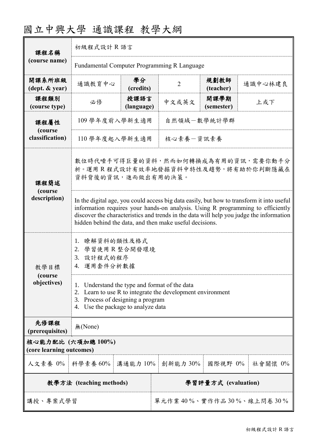| 課程名稱                                           | 初級程式設計R語言                                                                                                                                                                                                                                                                                                                          |                    |                         |                    |         |  |
|------------------------------------------------|------------------------------------------------------------------------------------------------------------------------------------------------------------------------------------------------------------------------------------------------------------------------------------------------------------------------------------|--------------------|-------------------------|--------------------|---------|--|
| (course name)                                  | Fundamental Computer Programming R Language                                                                                                                                                                                                                                                                                        |                    |                         |                    |         |  |
| 開課系所班級<br>(dept. & year)                       | 通識教育中心                                                                                                                                                                                                                                                                                                                             | 學分<br>(credits)    | $\overline{2}$          | 規劃教師<br>(teacher)  | 通識中心林建良 |  |
| 課程類別<br>(course type)                          | 必修                                                                                                                                                                                                                                                                                                                                 | 授課語言<br>(language) | 中文或英文                   | 開課學期<br>(semester) | 上或下     |  |
| 課程屬性<br>(course<br>classification)             | 109 學年度前入學新生適用                                                                                                                                                                                                                                                                                                                     |                    | 自然領域-數學統計學群             |                    |         |  |
|                                                | 110 學年度起入學新生適用                                                                                                                                                                                                                                                                                                                     |                    | 核心素養一資訊素養               |                    |         |  |
| 課程簡述<br>(course<br>description)                | 數位時代唾手可得巨量的資料,然而如何轉換成為有用的資訊,需要你動手分<br>析。運用R程式設計有效率地發掘資料中特性及趨勢,將有助於你判斷隱藏在<br>資料背後的資訊,進而做出有用的決策。                                                                                                                                                                                                                                     |                    |                         |                    |         |  |
|                                                | In the digital age, you could access big data easily, but how to transform it into useful<br>information requires your hands-on analysis. Using R programming to efficiently<br>discover the characteristics and trends in the data will help you judge the information<br>hidden behind the data, and then make useful decisions. |                    |                         |                    |         |  |
| 教學目標<br>(course)<br>objectives)                | 1. 瞭解資料的類性及格式<br>2. 學習使用 R 整合開發環境<br>3. 設計程式的程序<br>4. 運用套件分析數據                                                                                                                                                                                                                                                                     |                    |                         |                    |         |  |
|                                                | 1. Understand the type and format of the data<br>2. Learn to use R to integrate the development environment<br>Process of designing a program<br>3.<br>Use the package to analyze data<br>4.                                                                                                                                       |                    |                         |                    |         |  |
| 先修課程<br>(prerequisites)                        | 無(None)                                                                                                                                                                                                                                                                                                                            |                    |                         |                    |         |  |
| 核心能力配比 (六項加總 100%)<br>(core learning outcomes) |                                                                                                                                                                                                                                                                                                                                    |                    |                         |                    |         |  |
| 人文素養 0%   科學素養 60%                             |                                                                                                                                                                                                                                                                                                                                    | 溝通能力 10%           | 創新能力 30%                | 國際視野 0%            | 社會關懷 0% |  |
| 教學方法 (teaching methods)                        |                                                                                                                                                                                                                                                                                                                                    |                    | 學習評量方式 (evaluation)     |                    |         |  |
| 講授、專案式學習                                       |                                                                                                                                                                                                                                                                                                                                    |                    | 單元作業40%、實作作品30%、線上問卷30% |                    |         |  |

# 國立中興大學 通識課程 教學大綱